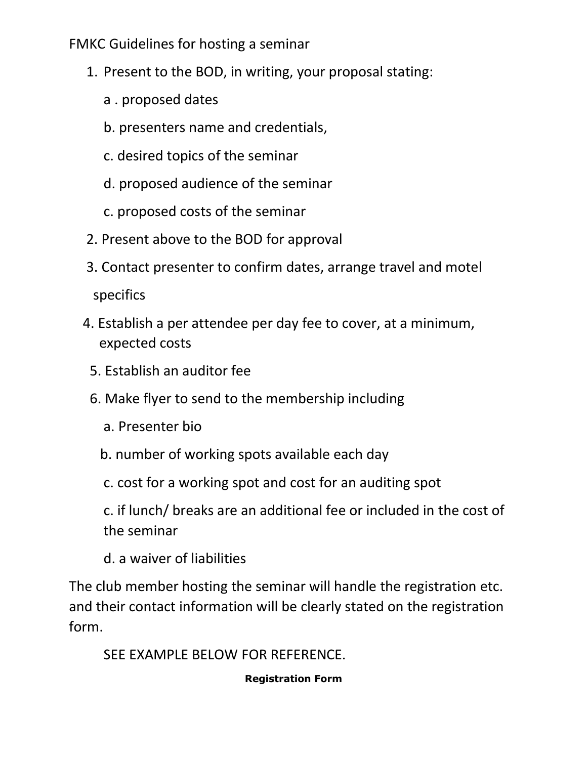FMKC Guidelines for hosting a seminar

- 1. Present to the BOD, in writing, your proposal stating:
	- a . proposed dates
	- b. presenters name and credentials,
	- c. desired topics of the seminar
	- d. proposed audience of the seminar
	- c. proposed costs of the seminar
- 2. Present above to the BOD for approval
- 3. Contact presenter to confirm dates, arrange travel and motel specifics
- 4. Establish a per attendee per day fee to cover, at a minimum, expected costs
	- 5. Establish an auditor fee
	- 6. Make flyer to send to the membership including
		- a. Presenter bio
		- b. number of working spots available each day
		- c. cost for a working spot and cost for an auditing spot

c. if lunch/ breaks are an additional fee or included in the cost of the seminar

d. a waiver of liabilities

The club member hosting the seminar will handle the registration etc. and their contact information will be clearly stated on the registration form.

SEE EXAMPLE BELOW FOR REFERENCE.

## **Registration Form**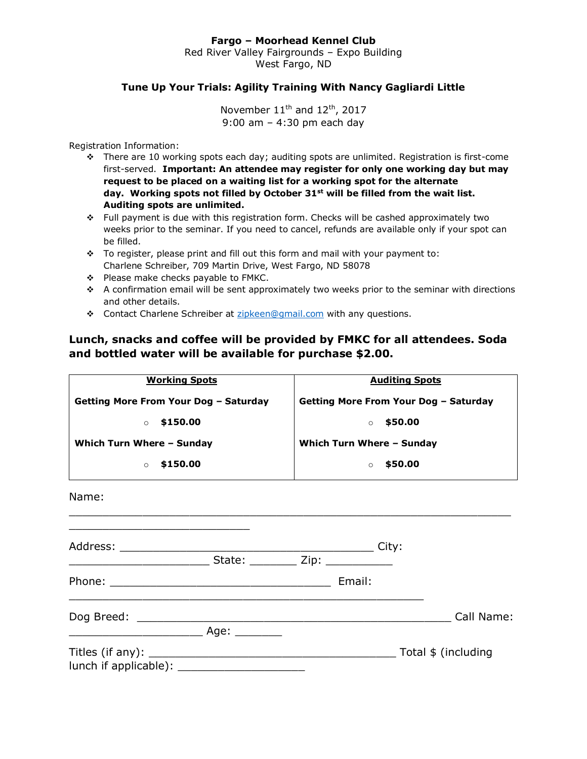## **Fargo – Moorhead Kennel Club**

Red River Valley Fairgrounds – Expo Building West Fargo, ND

## **Tune Up Your Trials: Agility Training With Nancy Gagliardi Little**

November  $11<sup>th</sup>$  and  $12<sup>th</sup>$ , 2017 9:00 am – 4:30 pm each day

Registration Information:

- ❖ There are 10 working spots each day; auditing spots are unlimited. Registration is first-come first-served. **Important: An attendee may register for only one working day but may request to be placed on a waiting list for a working spot for the alternate day. Working spots not filled by October 31st will be filled from the wait list. Auditing spots are unlimited.**
- ❖ Full payment is due with this registration form. Checks will be cashed approximately two weeks prior to the seminar. If you need to cancel, refunds are available only if your spot can be filled.
- ❖ To register, please print and fill out this form and mail with your payment to: Charlene Schreiber, 709 Martin Drive, West Fargo, ND 58078
- ❖ Please make checks payable to FMKC.
- ❖ A confirmation email will be sent approximately two weeks prior to the seminar with directions and other details.
- ❖ Contact Charlene Schreiber at [zipkeen@gmail.com](mailto:zipkeen@gmail.com) with any questions.

## **Lunch, snacks and coffee will be provided by FMKC for all attendees. Soda and bottled water will be available for purchase \$2.00.**

| <b>Working Spots</b>                                                                                               | <b>Auditing Spots</b>                        |
|--------------------------------------------------------------------------------------------------------------------|----------------------------------------------|
| <b>Getting More From Your Dog - Saturday</b>                                                                       | <b>Getting More From Your Dog - Saturday</b> |
| \$150.00<br>$\circ$                                                                                                | $\circ$ \$50.00                              |
| Which Turn Where - Sunday                                                                                          | Which Turn Where - Sunday                    |
| $\circ$ \$150.00                                                                                                   | $\circ$ \$50.00                              |
| Name:                                                                                                              |                                              |
|                                                                                                                    |                                              |
|                                                                                                                    |                                              |
| <u> 1980 - Johann John Stone, martin am France, martin am France, martin am France, martin am France, martin a</u> | Call Name:                                   |
|                                                                                                                    |                                              |